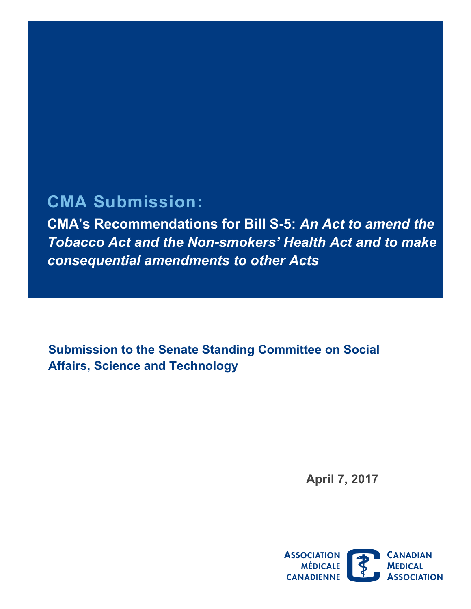# **CMA Submission:**

**CMA's Recommendations for Bill S-5:** *An Act to amend the Tobacco Act and the Non-smokers' Health Act and to make consequential amendments to other Acts* 

 **Submission to the Senate Standing Committee on Social Affairs, Science and Technology** 

**April 7, 2017** 

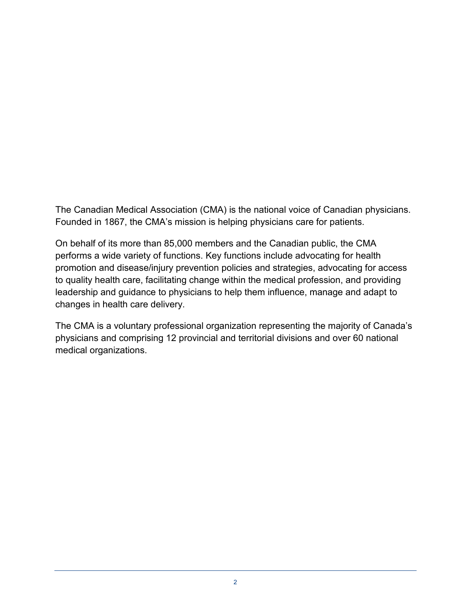The Canadian Medical Association (CMA) is the national voice of Canadian physicians. Founded in 1867, the CMA's mission is helping physicians care for patients.

On behalf of its more than 85,000 members and the Canadian public, the CMA performs a wide variety of functions. Key functions include advocating for health promotion and disease/injury prevention policies and strategies, advocating for access to quality health care, facilitating change within the medical profession, and providing leadership and guidance to physicians to help them influence, manage and adapt to changes in health care delivery.

The CMA is a voluntary professional organization representing the majority of Canada's physicians and comprising 12 provincial and territorial divisions and over 60 national medical organizations.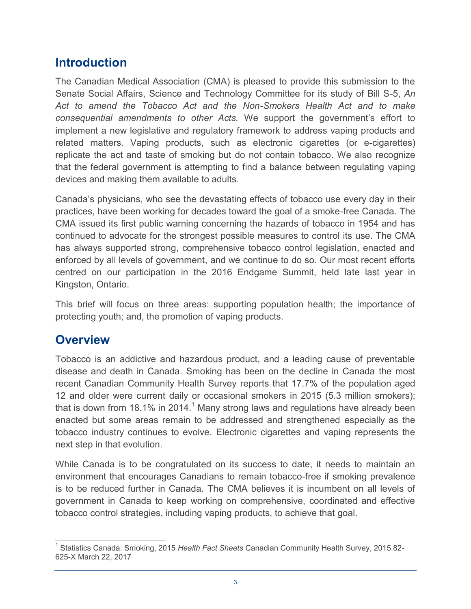## **Introduction**

The Canadian Medical Association (CMA) is pleased to provide this submission to the Senate Social Affairs, Science and Technology Committee for its study of Bill S-5, *An Act to amend the Tobacco Act and the Non-Smokers Health Act and to make consequential amendments to other Acts.* We support the government's effort to implement a new legislative and regulatory framework to address vaping products and related matters. Vaping products, such as electronic cigarettes (or e-cigarettes) replicate the act and taste of smoking but do not contain tobacco. We also recognize that the federal government is attempting to find a balance between regulating vaping devices and making them available to adults.

Canada's physicians, who see the devastating effects of tobacco use every day in their practices, have been working for decades toward the goal of a smoke-free Canada. The CMA issued its first public warning concerning the hazards of tobacco in 1954 and has continued to advocate for the strongest possible measures to control its use. The CMA has always supported strong, comprehensive tobacco control legislation, enacted and enforced by all levels of government, and we continue to do so. Our most recent efforts centred on our participation in the 2016 Endgame Summit, held late last year in Kingston, Ontario.

This brief will focus on three areas: supporting population health; the importance of protecting youth; and, the promotion of vaping products.

### **Overview**

 Tobacco is an addictive and hazardous product, and a leading cause of preventable disease and death in Canada. Smoking has been on the decline in Canada the most recent Canadian Community Health Survey reports that 17.7% of the population aged 12 and older were current daily or occasional smokers in 2015 (5.3 million smokers); that is down from 18.1% in 2014.<sup>1</sup> Many strong laws and regulations have already been enacted but some areas remain to be addressed and strengthened especially as the tobacco industry continues to evolve. Electronic cigarettes and vaping represents the next step in that evolution.

 While Canada is to be congratulated on its success to date, it needs to maintain an environment that encourages Canadians to remain tobacco-free if smoking prevalence is to be reduced further in Canada. The CMA believes it is incumbent on all levels of government in Canada to keep working on comprehensive, coordinated and effective tobacco control strategies, including vaping products, to achieve that goal.

 $\overline{\phantom{a}}$ 1 Statistics Canada. Smoking, 2015 *Health Fact Sheets* Canadian Community Health Survey, 2015 82- 625-X March 22, 2017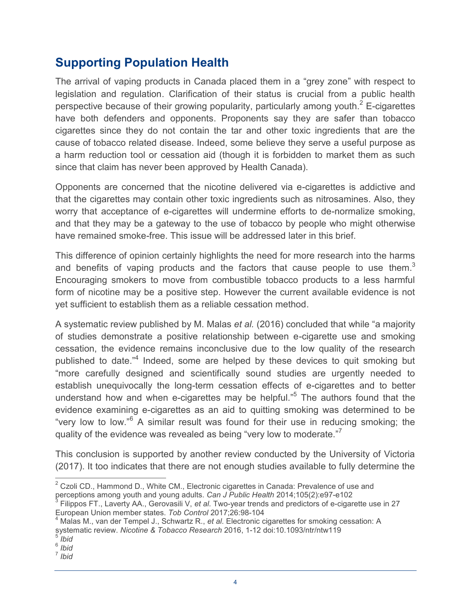# **Supporting Population Health**

 The arrival of vaping products in Canada placed them in a "grey zone" with respect to legislation and regulation. Clarification of their status is crucial from a public health perspective because of their growing popularity, particularly among youth. $2$  E-cigarettes have both defenders and opponents. Proponents say they are safer than tobacco cigarettes since they do not contain the tar and other toxic ingredients that are the cause of tobacco related disease. Indeed, some believe they serve a useful purpose as a harm reduction tool or cessation aid (though it is forbidden to market them as such since that claim has never been approved by Health Canada).

 Opponents are concerned that the nicotine delivered via e-cigarettes is addictive and that the cigarettes may contain other toxic ingredients such as nitrosamines. Also, they worry that acceptance of e-cigarettes will undermine efforts to de-normalize smoking, and that they may be a gateway to the use of tobacco by people who might otherwise have remained smoke-free. This issue will be addressed later in this brief.

 This difference of opinion certainly highlights the need for more research into the harms and benefits of vaping products and the factors that cause people to use them.<sup>3</sup> Encouraging smokers to move from combustible tobacco products to a less harmful form of nicotine may be a positive step. However the current available evidence is not yet sufficient to establish them as a reliable cessation method.

 of studies demonstrate a positive relationship between e-cigarette use and smoking cessation, the evidence remains inconclusive due to the low quality of the research published to date."<sup>4</sup> Indeed, some are helped by these devices to quit smoking but "more carefully designed and scientifically sound studies are urgently needed to establish unequivocally the long-term cessation effects of e-cigarettes and to better understand how and when e-cigarettes may be helpful."<sup>5</sup> The authors found that the evidence examining e-cigarettes as an aid to quitting smoking was determined to be "very low to low."<sup>6</sup> A similar result was found for their use in reducing smoking; the quality of the evidence was revealed as being "very low to moderate."<sup>7</sup> A systematic review published by M. Malas *et al.* (2016) concluded that while "a majority

 This conclusion is supported by another review conducted by the University of Victoria (2017). It too indicates that there are not enough studies available to fully determine the

4 Malas M., van der Tempel J., Schwartz R., *et al*. Electronic cigarettes for smoking cessation: A systematic review. *Nicotine & Tobacco Research* 2016, 1-12 doi:10.1093/ntr/ntw119

 $\overline{a}$  $2$  Czoli CD., Hammond D., White CM., Electronic cigarettes in Canada: Prevalence of use and perceptions among youth and young adults. *Can J Public Health* 2014;105(2):e97-e102<br><sup>3</sup> Filippos FT., Laverty AA., Gerovasili V, *et al.* Two-year trends and predictors of e-cigarette use in 27

European Union member states. *Tob Control* 2017;26:98-104

<sup>5</sup>*Ibid*  <sup>6</sup> *Ibid* 

<sup>7</sup>*Ibid*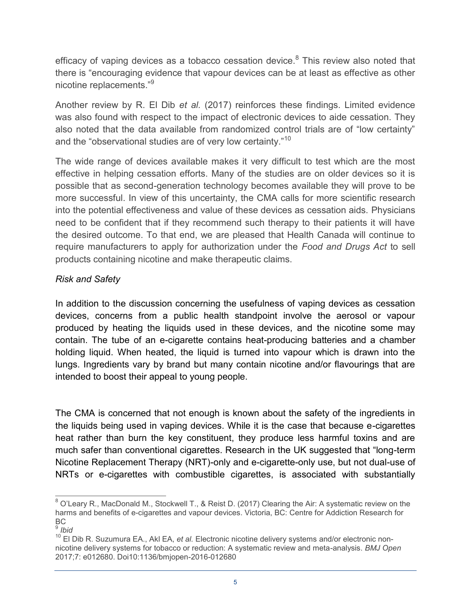efficacy of vaping devices as a tobacco cessation device.<sup>8</sup> This review also noted that there is "encouraging evidence that vapour devices can be at least as effective as other nicotine replacements."<sup>9</sup>

Another review by R. El Dib *et al.* (2017) reinforces these findings. Limited evidence was also found with respect to the impact of electronic devices to aide cessation. They also noted that the data available from randomized control trials are of "low certainty" and the "observational studies are of very low certainty."<sup>10</sup>

 The wide range of devices available makes it very difficult to test which are the most effective in helping cessation efforts. Many of the studies are on older devices so it is possible that as second-generation technology becomes available they will prove to be more successful. In view of this uncertainty, the CMA calls for more scientific research into the potential effectiveness and value of these devices as cessation aids. Physicians need to be confident that if they recommend such therapy to their patients it will have the desired outcome. To that end, we are pleased that Health Canada will continue to require manufacturers to apply for authorization under the *Food and Drugs Act* to sell products containing nicotine and make therapeutic claims.

### *Risk and Safety*

 In addition to the discussion concerning the usefulness of vaping devices as cessation devices, concerns from a public health standpoint involve the aerosol or vapour produced by heating the liquids used in these devices, and the nicotine some may contain. The tube of an e-cigarette contains heat-producing batteries and a chamber holding liquid. When heated, the liquid is turned into vapour which is drawn into the lungs. Ingredients vary by brand but many contain nicotine and/or flavourings that are intended to boost their appeal to young people.

 The CMA is concerned that not enough is known about the safety of the ingredients in the liquids being used in vaping devices. While it is the case that because e-cigarettes heat rather than burn the key constituent, they produce less harmful toxins and are much safer than conventional cigarettes. Research in the UK suggested that "long-term NRTs or e-cigarettes with combustible cigarettes, is associated with substantially Nicotine Replacement Therapy (NRT)-only and e-cigarette-only use, but not dual-use of

 $\overline{a}$  $^8$  O'Leary R., MacDonald M., Stockwell T., & Reist D. (2017) Clearing the Air: A systematic review on the harms and benefits of e-cigarettes and vapour devices. Victoria, BC: Centre for Addiction Research for BC

<sup>9</sup>*Ibid* 

<sup>&</sup>lt;sup>10</sup> El Dib R. Suzumura EA., Akl EA, et al. Electronic nicotine delivery systems and/or electronic nonnicotine delivery systems for tobacco or reduction: A systematic review and meta-analysis. *BMJ Open*  2017;7: e012680. Doi10:1136/bmjopen-2016-012680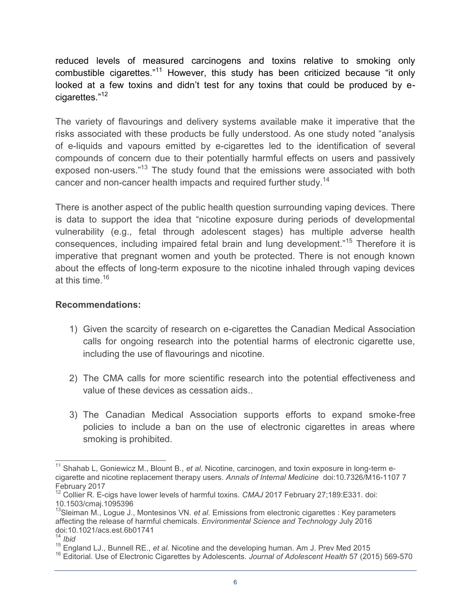reduced levels of measured carcinogens and toxins relative to smoking only combustible cigarettes."11 However, this study has been criticized because "it only looked at a few toxins and didn't test for any toxins that could be produced by ecigarettes."<sup>12</sup>

The variety of flavourings and delivery systems available make it imperative that the risks associated with these products be fully understood. As one study noted "analysis of e-liquids and vapours emitted by e-cigarettes led to the identification of several compounds of concern due to their potentially harmful effects on users and passively exposed non-users."<sup>13</sup> The study found that the emissions were associated with both cancer and non-cancer health impacts and required further study.<sup>14</sup>

consequences, including impaired fetal brain and lung development."<sup>15</sup> Therefore it is imperative that pregnant women and youth be protected. There is not enough known about the effects of long-term exposure to the nicotine inhaled through vaping devices There is another aspect of the public health question surrounding vaping devices. There is data to support the idea that "nicotine exposure during periods of developmental vulnerability (e.g., fetal through adolescent stages) has multiple adverse health at this time.16

- 1) Given the scarcity of research on e-cigarettes the Canadian Medical Association calls for ongoing research into the potential harms of electronic cigarette use, including the use of flavourings and nicotine.
- 2) The CMA calls for more scientific research into the potential effectiveness and value of these devices as cessation aids..
- 3) The Canadian Medical Association supports efforts to expand smoke-free policies to include a ban on the use of electronic cigarettes in areas where smoking is prohibited.

 cigarette and nicotine replacement therapy users. *Annals of Internal Medicine* doi:10.7326/M16-1107 7 February 2017 <sup>11</sup> Shahab L, Goniewicz M., Blount B., et al. Nicotine, carcinogen, and toxin exposure in long-term e-

<sup>&</sup>lt;sup>12</sup> Collier R. E-cigs have lower levels of harmful toxins. *CMAJ* 2017 February 27;189:E331. doi: 10.1503/cmaj.1095396

 affecting the release of harmful chemicals. *Environmental Science and Technology* July 2016 13Sleiman M., Logue J., Montesinos VN. *et al*. Emissions from electronic cigarettes : Key parameters doi:10.1021/acs.est.6b01741

<sup>14</sup>*Ibid* 

<sup>&</sup>lt;sup>15</sup> England LJ., Bunnell RE., et al. Nicotine and the developing human. Am J. Prev Med 2015

<sup>&</sup>lt;sup>16</sup> Editorial. Use of Electronic Cigarettes by Adolescents. Journal of Adolescent Health 57 (2015) 569-570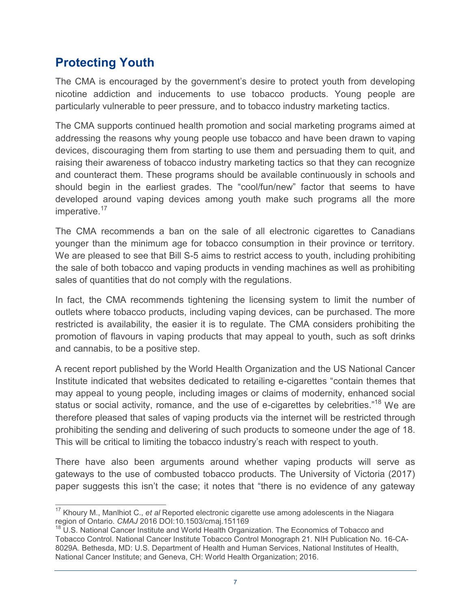# **Protecting Youth**

The CMA is encouraged by the government's desire to protect youth from developing nicotine addiction and inducements to use tobacco products. Young people are particularly vulnerable to peer pressure, and to tobacco industry marketing tactics.

imperative.<sup>17</sup> The CMA supports continued health promotion and social marketing programs aimed at addressing the reasons why young people use tobacco and have been drawn to vaping devices, discouraging them from starting to use them and persuading them to quit, and raising their awareness of tobacco industry marketing tactics so that they can recognize and counteract them. These programs should be available continuously in schools and should begin in the earliest grades. The "cool/fun/new" factor that seems to have developed around vaping devices among youth make such programs all the more

 The CMA recommends a ban on the sale of all electronic cigarettes to Canadians younger than the minimum age for tobacco consumption in their province or territory. We are pleased to see that Bill S-5 aims to restrict access to youth, including prohibiting the sale of both tobacco and vaping products in vending machines as well as prohibiting sales of quantities that do not comply with the regulations.

 In fact, the CMA recommends tightening the licensing system to limit the number of outlets where tobacco products, including vaping devices, can be purchased. The more restricted is availability, the easier it is to regulate. The CMA considers prohibiting the promotion of flavours in vaping products that may appeal to youth, such as soft drinks and cannabis, to be a positive step.

A recent report published by the World Health Organization and the US National Cancer Institute indicated that websites dedicated to retailing e-cigarettes "contain themes that may appeal to young people, including images or claims of modernity, enhanced social status or social activity, romance, and the use of e-cigarettes by celebrities."<sup>18</sup> We are therefore pleased that sales of vaping products via the internet will be restricted through prohibiting the sending and delivering of such products to someone under the age of 18. This will be critical to limiting the tobacco industry's reach with respect to youth.

There have also been arguments around whether vaping products will serve as gateways to the use of combusted tobacco products. The University of Victoria (2017) paper suggests this isn't the case; it notes that "there is no evidence of any gateway

 $\overline{\phantom{a}}$ <sup>17</sup> Khoury M., Manlhiot C., *et al* Reported electronic cigarette use among adolescents in the Niagara region of Ontario. *CMAJ* 2016 DOI:10.1503/cmaj.151169<br><sup>18</sup> U.S. National Cancer Institute and World Health Organization. The Economics of Tobacco and

Tobacco Control. National Cancer Institute Tobacco Control Monograph 21. NIH Publication No. 16-CA-8029A. Bethesda, MD: U.S. Department of Health and Human Services, National Institutes of Health, National Cancer Institute; and Geneva, CH: World Health Organization; 2016.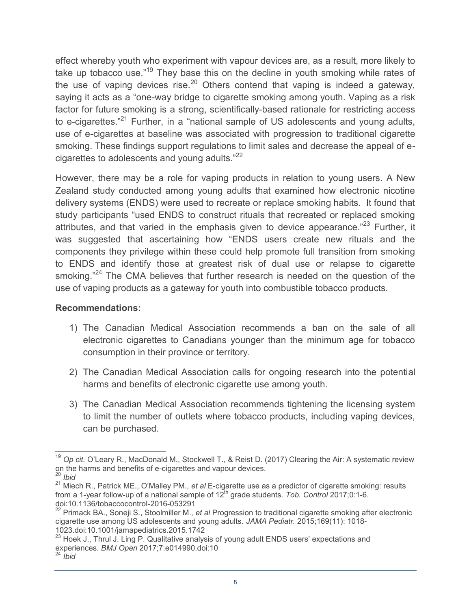take up tobacco use."<sup>19</sup> They base this on the decline in youth smoking while rates of the use of vaping devices rise.<sup>20</sup> Others contend that vaping is indeed a gateway, saying it acts as a "one-way bridge to cigarette smoking among youth. Vaping as a risk to e-cigarettes."<sup>21</sup> Further, in a "national sample of US adolescents and young adults, use of e-cigarettes at baseline was associated with progression to traditional cigarette effect whereby youth who experiment with vapour devices are, as a result, more likely to factor for future smoking is a strong, scientifically-based rationale for restricting access smoking. These findings support regulations to limit sales and decrease the appeal of ecigarettes to adolescents and young adults."<sup>22</sup>

However, there may be a role for vaping products in relation to young users. A New Zealand study conducted among young adults that examined how electronic nicotine delivery systems (ENDS) were used to recreate or replace smoking habits. It found that study participants "used ENDS to construct rituals that recreated or replaced smoking attributes, and that varied in the emphasis given to device appearance."<sup>23</sup> Further, it was suggested that ascertaining how "ENDS users create new rituals and the components they privilege within these could help promote full transition from smoking to ENDS and identify those at greatest risk of dual use or relapse to cigarette smoking."<sup>24</sup> The CMA believes that further research is needed on the question of the use of vaping products as a gateway for youth into combustible tobacco products.

- 1) The Canadian Medical Association recommends a ban on the sale of all electronic cigarettes to Canadians younger than the minimum age for tobacco consumption in their province or territory.
- 2) The Canadian Medical Association calls for ongoing research into the potential harms and benefits of electronic cigarette use among youth.
- 3) The Canadian Medical Association recommends tightening the licensing system to limit the number of outlets where tobacco products, including vaping devices, can be purchased.

 $\overline{\phantom{a}}$ <sup>19</sup> Op cit. O'Leary R., MacDonald M., Stockwell T., & Reist D. (2017) Clearing the Air: A systematic review on the harms and benefits of e-cigarettes and vapour devices. <sup>20</sup>*Ibid* 

<sup>&</sup>lt;sup>21</sup> Miech R., Patrick ME., O'Malley PM., *et al* E-cigarette use as a predictor of cigarette smoking: results from a 1-year follow-up of a national sample of 12<sup>th</sup> grade students. *Tob. Control* 2017;0:1-6. doi:10.1136/tobaccocontrol-2016-053291

<sup>&</sup>lt;sup>22</sup> Primack BA., Soneji S., Stoolmiller M., et al Progression to traditional cigarette smoking after electronic cigarette use among US adolescents and young adults. *JAMA Pediatr.* 2015;169(11): 1018- 1023.doi:10.1001/jamapediatrics.2015.1742

 $^{23}$  Hoek J., Thrul J. Ling P. Qualitative analysis of young adult ENDS users' expectations and experiences. *BMJ Open* 2017;7:e014990.doi:10

<sup>24</sup>*Ibid*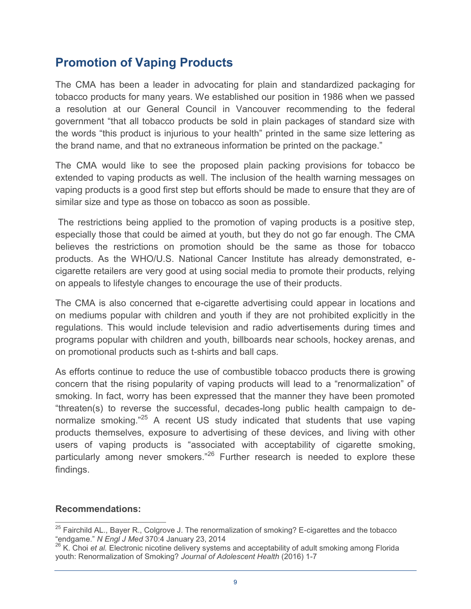## **Promotion of Vaping Products**

The CMA has been a leader in advocating for plain and standardized packaging for tobacco products for many years. We established our position in 1986 when we passed a resolution at our General Council in Vancouver recommending to the federal government "that all tobacco products be sold in plain packages of standard size with the words "this product is injurious to your health" printed in the same size lettering as the brand name, and that no extraneous information be printed on the package."

The CMA would like to see the proposed plain packing provisions for tobacco be extended to vaping products as well. The inclusion of the health warning messages on vaping products is a good first step but efforts should be made to ensure that they are of similar size and type as those on tobacco as soon as possible.

The restrictions being applied to the promotion of vaping products is a positive step, especially those that could be aimed at youth, but they do not go far enough. The CMA believes the restrictions on promotion should be the same as those for tobacco products. As the WHO/U.S. National Cancer Institute has already demonstrated, ecigarette retailers are very good at using social media to promote their products, relying on appeals to lifestyle changes to encourage the use of their products.

The CMA is also concerned that e-cigarette advertising could appear in locations and on mediums popular with children and youth if they are not prohibited explicitly in the regulations. This would include television and radio advertisements during times and programs popular with children and youth, billboards near schools, hockey arenas, and on promotional products such as t-shirts and ball caps.

As efforts continue to reduce the use of combustible tobacco products there is growing concern that the rising popularity of vaping products will lead to a "renormalization" of smoking. In fact, worry has been expressed that the manner they have been promoted "threaten(s) to reverse the successful, decades-long public health campaign to denormalize smoking."25 A recent US study indicated that students that use vaping products themselves, exposure to advertising of these devices, and living with other users of vaping products is "associated with acceptability of cigarette smoking, particularly among never smokers."<sup>26</sup> Further research is needed to explore these findings.

 $\overline{a}$ <sup>25</sup> Fairchild AL., Bayer R., Colgrove J. The renormalization of smoking? E-cigarettes and the tobacco<br>"endgame." N Engl J Med 370:4 January 23, 2014

<sup>&</sup>quot;endgame*." N Engl J Med* 370:4 January 23, 2014<br><sup>26</sup> K. Choi *et al.* Electronic nicotine delivery systems and acceptability of adult smoking among Florida youth: Renormalization of Smoking? *Journal of Adolescent Health* (2016) 1-7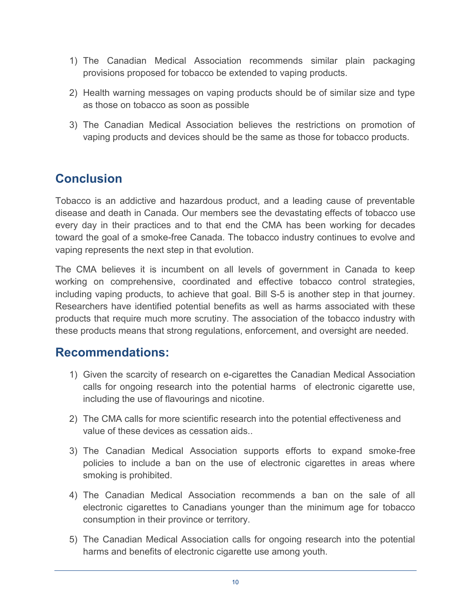- 1) The Canadian Medical Association recommends similar plain packaging provisions proposed for tobacco be extended to vaping products.
- 2) Health warning messages on vaping products should be of similar size and type as those on tobacco as soon as possible
- 3) The Canadian Medical Association believes the restrictions on promotion of vaping products and devices should be the same as those for tobacco products.

# **Conclusion**

 Tobacco is an addictive and hazardous product, and a leading cause of preventable disease and death in Canada. Our members see the devastating effects of tobacco use every day in their practices and to that end the CMA has been working for decades toward the goal of a smoke-free Canada. The tobacco industry continues to evolve and vaping represents the next step in that evolution.

 The CMA believes it is incumbent on all levels of government in Canada to keep working on comprehensive, coordinated and effective tobacco control strategies, including vaping products, to achieve that goal. Bill S-5 is another step in that journey. Researchers have identified potential benefits as well as harms associated with these products that require much more scrutiny. The association of the tobacco industry with these products means that strong regulations, enforcement, and oversight are needed.

- 1) Given the scarcity of research on e-cigarettes the Canadian Medical Association calls for ongoing research into the potential harms of electronic cigarette use, including the use of flavourings and nicotine.
- value of these devices as cessation aids.. 2) The CMA calls for more scientific research into the potential effectiveness and
- 3) The Canadian Medical Association supports efforts to expand smoke-free policies to include a ban on the use of electronic cigarettes in areas where smoking is prohibited.
- 4) The Canadian Medical Association recommends a ban on the sale of all electronic cigarettes to Canadians younger than the minimum age for tobacco consumption in their province or territory.
- 5) The Canadian Medical Association calls for ongoing research into the potential harms and benefits of electronic cigarette use among youth.